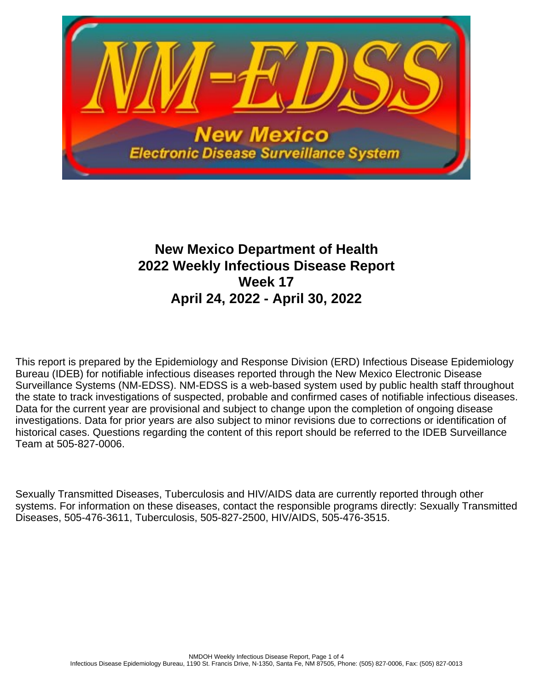

# **New Mexico Department of Health 2022 Weekly Infectious Disease Report Week 17 April 24, 2022 - April 30, 2022**

This report is prepared by the Epidemiology and Response Division (ERD) Infectious Disease Epidemiology Bureau (IDEB) for notifiable infectious diseases reported through the New Mexico Electronic Disease Surveillance Systems (NM-EDSS). NM-EDSS is a web-based system used by public health staff throughout the state to track investigations of suspected, probable and confirmed cases of notifiable infectious diseases. Data for the current year are provisional and subject to change upon the completion of ongoing disease investigations. Data for prior years are also subject to minor revisions due to corrections or identification of historical cases. Questions regarding the content of this report should be referred to the IDEB Surveillance Team at 505-827-0006.

Sexually Transmitted Diseases, Tuberculosis and HIV/AIDS data are currently reported through other systems. For information on these diseases, contact the responsible programs directly: Sexually Transmitted Diseases, 505-476-3611, Tuberculosis, 505-827-2500, HIV/AIDS, 505-476-3515.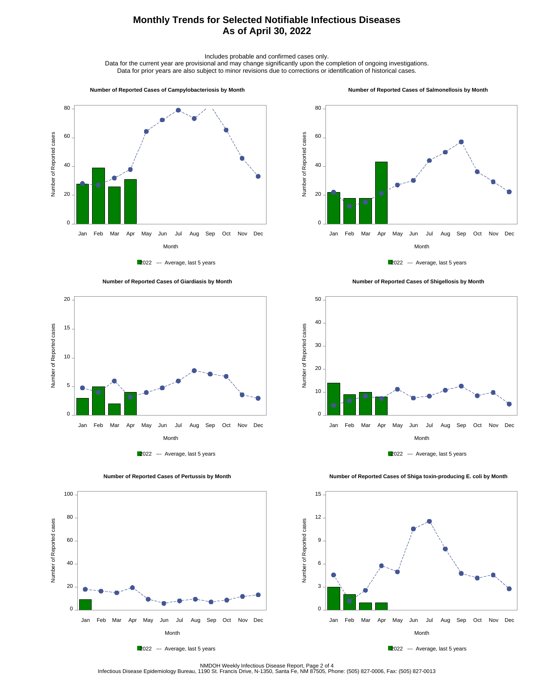## **Monthly Trends for Selected Notifiable Infectious Diseases As of April 30, 2022**

Includes probable and confirmed cases only.

Data for the current year are provisional and may change significantly upon the completion of ongoing investigations. Data for prior years are also subject to minor revisions due to corrections or identification of historical cases.

#### **Number of Reported Cases of Campylobacteriosis by Month**

#### **Number of Reported Cases of Salmonellosis by Month**











 **Number of Reported Cases of Shigellosis by Month**





 **Number of Reported Cases of Shiga toxin-producing E. coli by Month**





2022 --- Average, last 5 years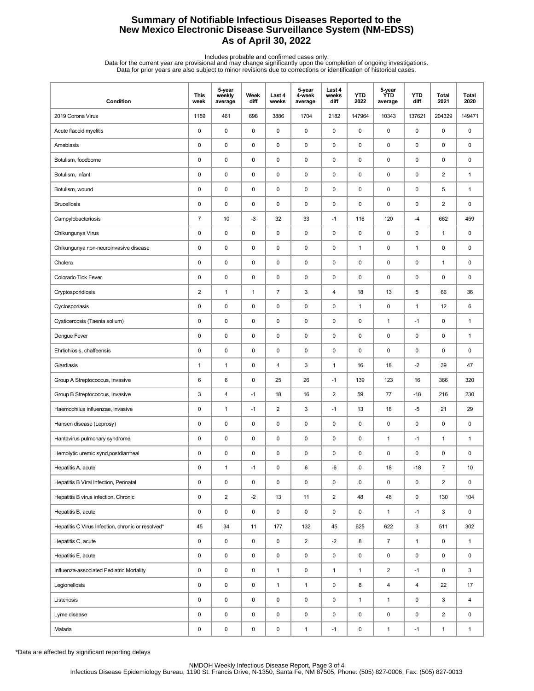## **Summary of Notifiable Infectious Diseases Reported to the New Mexico Electronic Disease Surveillance System (NM-EDSS) As of April 30, 2022**

Includes probable and confirmed cases only.<br>Data for the current year are provisional and may change significantly upon the completion of ongoing investigations.<br>Data for prior years are also subject to minor revisions due

| Condition                                         | <b>This</b><br>week | 5-year<br>weekly<br>average | Week<br>diff | Last 4<br>weeks         | 5-year<br>4-week<br>average | Last 4<br>weeks<br>diff | <b>YTD</b><br>2022 | 5-year<br><b>YTD</b><br>average | <b>YTD</b><br>diff | Total<br>2021           | <b>Total</b><br>2020 |
|---------------------------------------------------|---------------------|-----------------------------|--------------|-------------------------|-----------------------------|-------------------------|--------------------|---------------------------------|--------------------|-------------------------|----------------------|
| 2019 Corona Virus                                 | 1159                | 461                         | 698          | 3886                    | 1704                        | 2182                    | 147964             | 10343                           | 137621             | 204329                  | 149471               |
| Acute flaccid myelitis                            | $\pmb{0}$           | $\mathsf 0$                 | 0            | 0                       | $\pmb{0}$                   | $\pmb{0}$               | $\pmb{0}$          | 0                               | $\pmb{0}$          | 0                       | 0                    |
| Amebiasis                                         | 0                   | 0                           | 0            | 0                       | 0                           | $\mathbf 0$             | $\pmb{0}$          | 0                               | $\mathbf 0$        | $\pmb{0}$               | 0                    |
| Botulism, foodborne                               | 0                   | 0                           | 0            | 0                       | 0                           | $\mathbf 0$             | $\pmb{0}$          | 0                               | $\pmb{0}$          | 0                       | 0                    |
| Botulism, infant                                  | 0                   | 0                           | 0            | 0                       | 0                           | $\mathbf 0$             | $\pmb{0}$          | 0                               | $\pmb{0}$          | $\overline{2}$          | $\mathbf{1}$         |
| Botulism, wound                                   | 0                   | $\mathsf 0$                 | $\pmb{0}$    | 0                       | $\pmb{0}$                   | $\pmb{0}$               | $\pmb{0}$          | 0                               | $\pmb{0}$          | 5                       | $\mathbf{1}$         |
| <b>Brucellosis</b>                                | 0                   | 0                           | 0            | 0                       | $\pmb{0}$                   | 0                       | 0                  | 0                               | $\pmb{0}$          | $\overline{2}$          | 0                    |
| Campylobacteriosis                                | $\overline{7}$      | 10                          | $-3$         | 32                      | 33                          | $-1$                    | 116                | 120                             | $-4$               | 662                     | 459                  |
| Chikungunya Virus                                 | 0                   | 0                           | 0            | 0                       | 0                           | 0                       | $\pmb{0}$          | 0                               | $\mathbf 0$        | $\mathbf{1}$            | 0                    |
| Chikungunya non-neuroinvasive disease             | 0                   | 0                           | 0            | 0                       | 0                           | 0                       | $\mathbf{1}$       | 0                               | $\mathbf{1}$       | 0                       | 0                    |
| Cholera                                           | 0                   | $\mathsf 0$                 | 0            | 0                       | 0                           | $\mathbf 0$             | $\pmb{0}$          | 0                               | $\mathbf 0$        | $\mathbf{1}$            | 0                    |
| Colorado Tick Fever                               | 0                   | $\mathsf 0$                 | 0            | 0                       | $\pmb{0}$                   | $\pmb{0}$               | $\pmb{0}$          | 0                               | $\pmb{0}$          | 0                       | 0                    |
| Cryptosporidiosis                                 | 2                   | $\mathbf{1}$                | $\mathbf{1}$ | $\overline{7}$          | 3                           | 4                       | 18                 | 13                              | 5                  | 66                      | 36                   |
| Cyclosporiasis                                    | 0                   | 0                           | 0            | 0                       | 0                           | $\mathbf 0$             | $\mathbf{1}$       | 0                               | $\mathbf{1}$       | 12                      | 6                    |
| Cysticercosis (Taenia solium)                     | 0                   | 0                           | 0            | 0                       | 0                           | 0                       | $\pmb{0}$          | $\mathbf{1}$                    | $-1$               | 0                       | $\mathbf{1}$         |
| Dengue Fever                                      | 0                   | $\mathsf 0$                 | 0            | 0                       | $\pmb{0}$                   | $\pmb{0}$               | $\pmb{0}$          | 0                               | $\pmb{0}$          | 0                       | $\mathbf{1}$         |
| Ehrlichiosis, chaffeensis                         | 0                   | $\mathsf 0$                 | 0            | 0                       | $\pmb{0}$                   | $\mathbf 0$             | $\pmb{0}$          | 0                               | $\pmb{0}$          | 0                       | 0                    |
| Giardiasis                                        | 1                   | $\mathbf{1}$                | 0            | 4                       | 3                           | $\mathbf{1}$            | 16                 | 18                              | $-2$               | 39                      | 47                   |
| Group A Streptococcus, invasive                   | 6                   | 6                           | 0            | 25                      | 26                          | $-1$                    | 139                | 123                             | 16                 | 366                     | 320                  |
| Group B Streptococcus, invasive                   | 3                   | 4                           | $-1$         | 18                      | 16                          | $\overline{2}$          | 59                 | 77                              | $-18$              | 216                     | 230                  |
| Haemophilus influenzae, invasive                  | 0                   | $\mathbf{1}$                | $-1$         | $\overline{\mathbf{c}}$ | 3                           | $-1$                    | 13                 | 18                              | $-5$               | 21                      | 29                   |
| Hansen disease (Leprosy)                          | 0                   | $\mathsf 0$                 | 0            | 0                       | $\pmb{0}$                   | 0                       | $\pmb{0}$          | 0                               | $\pmb{0}$          | 0                       | 0                    |
| Hantavirus pulmonary syndrome                     | 0                   | 0                           | 0            | 0                       | 0                           | $\mathbf 0$             | 0                  | $\mathbf{1}$                    | $-1$               | 1                       | $\mathbf{1}$         |
| Hemolytic uremic synd, postdiarrheal              | 0                   | 0                           | 0            | 0                       | 0                           | $\mathbf 0$             | $\pmb{0}$          | 0                               | 0                  | 0                       | 0                    |
| Hepatitis A, acute                                | 0                   | $\mathbf{1}$                | $-1$         | 0                       | 6                           | -6                      | $\pmb{0}$          | 18                              | $-18$              | $\overline{7}$          | 10                   |
| Hepatitis B Viral Infection, Perinatal            | 0                   | $\mathsf 0$                 | 0            | 0                       | $\pmb{0}$                   | $\mathsf 0$             | $\pmb{0}$          | 0                               | 0                  | $\overline{2}$          | 0                    |
| Hepatitis B virus infection, Chronic              | 0                   | $\overline{2}$              | $-2$         | 13                      | 11                          | $\overline{2}$          | 48                 | 48                              | $\mathsf 0$        | 130                     | 104                  |
| Hepatitis B, acute                                | 0                   | 0                           | 0            | 0                       | $\pmb{0}$                   | 0                       | $\pmb{0}$          | $\mathbf{1}$                    | $-1$               | 3                       | 0                    |
| Hepatitis C Virus Infection, chronic or resolved* | 45                  | 34                          | 11           | 177                     | 132                         | 45                      | 625                | 622                             | 3                  | 511                     | 302                  |
| Hepatitis C, acute                                | 0                   | 0                           | 0            | 0                       | $\overline{2}$              | $-2$                    | 8                  | 7                               | $\mathbf{1}$       | 0                       | $\mathbf{1}$         |
| Hepatitis E, acute                                | 0                   | $\pmb{0}$                   | 0            | 0                       | $\pmb{0}$                   | 0                       | $\mathsf 0$        | 0                               | $\mathsf 0$        | 0                       | $\mathsf 0$          |
| Influenza-associated Pediatric Mortality          | 0                   | $\mathsf 0$                 | 0            | $\mathbf{1}$            | $\pmb{0}$                   | $\mathbf{1}$            | $\mathbf{1}$       | $\overline{\mathbf{c}}$         | $-1$               | 0                       | 3                    |
| Legionellosis                                     | 0                   | $\mathsf 0$                 | 0            | $\mathbf{1}$            | $\mathbf{1}$                | 0                       | 8                  | 4                               | $\overline{4}$     | 22                      | 17                   |
| Listeriosis                                       | 0                   | $\mathsf 0$                 | 0            | 0                       | 0                           | 0                       | $\mathbf{1}$       | $\mathbf{1}$                    | $\mathbf 0$        | 3                       | $\overline{4}$       |
| Lyme disease                                      | 0                   | $\mathsf 0$                 | 0            | 0                       | $\pmb{0}$                   | $\mathsf 0$             | $\pmb{0}$          | 0                               | $\pmb{0}$          | $\overline{\mathbf{c}}$ | 0                    |
| Malaria                                           | 0                   | $\pmb{0}$                   | 0            | 0                       | $\mathbf{1}$                | $-1$                    | 0                  | $\mathbf{1}$                    | $-1$               | $\mathbf{1}$            | $\mathbf{1}$         |

\*Data are affected by significant reporting delays